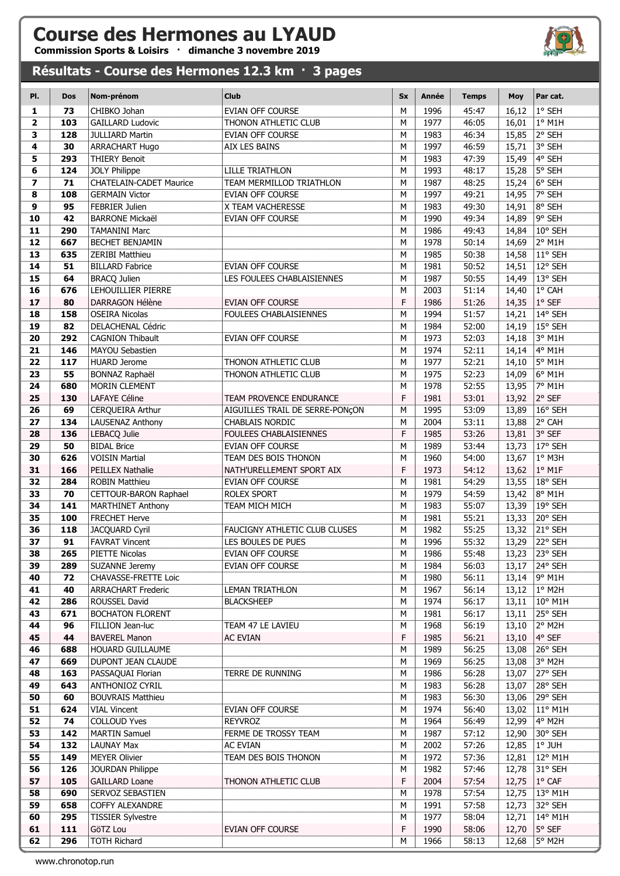## Course des Hermones au LYAUD

Commission Sports & Loisirs · dimanche 3 novembre 2019

## Résultats - Course des Hermones 12.3 km · 3 pages

| PI.                     | <b>Dos</b> | Nom-prénom                     | <b>Club</b>                     | <b>Sx</b> | <b>Année</b> | <b>Temps</b> | Moy   | Par cat.         |
|-------------------------|------------|--------------------------------|---------------------------------|-----------|--------------|--------------|-------|------------------|
| $\mathbf{1}$            | 73         | CHIBKO Johan                   | EVIAN OFF COURSE                | M         | 1996         | 45:47        | 16,12 | 1° SEH           |
| $\mathbf{2}$            | 103        | <b>GAILLARD Ludovic</b>        | THONON ATHLETIC CLUB            | M         | 1977         | 46:05        | 16,01 | $1°$ M1H         |
| 3                       | 128        | <b>JULLIARD Martin</b>         | EVIAN OFF COURSE                | M         | 1983         | 46:34        | 15,85 | 2° SEH           |
| 4                       | 30         | ARRACHART Hugo                 | <b>AIX LES BAINS</b>            | M         | 1997         | 46:59        | 15,71 | 3° SEH           |
| 5                       | 293        | <b>THIERY Benoit</b>           |                                 | M         | 1983         | 47:39        | 15,49 | 4° SEH           |
| 6                       | 124        | <b>JOLY Philippe</b>           | <b>LILLE TRIATHLON</b>          | M         | 1993         | 48:17        | 15,28 | 5° SEH           |
| $\overline{\mathbf{z}}$ | 71         | <b>CHATELAIN-CADET Maurice</b> | TEAM MERMILLOD TRIATHLON        | M         | 1987         | 48:25        | 15,24 | 6° SEH           |
| 8                       | 108        | <b>GERMAIN Victor</b>          | <b>EVIAN OFF COURSE</b>         | M         | 1997         | 49:21        | 14,95 | 7° SEH           |
| 9                       | 95         | <b>FEBRIER Julien</b>          | X TEAM VACHERESSE               | M         | 1983         | 49:30        | 14,91 | 8° SEH           |
| 10                      | 42         | <b>BARRONE Mickaël</b>         | <b>EVIAN OFF COURSE</b>         | M         | 1990         | 49:34        | 14,89 | 9° SEH           |
| 11                      | 290        | <b>TAMANINI Marc</b>           |                                 | M         | 1986         | 49:43        | 14,84 | 10° SEH          |
| 12                      | 667        | BECHET BENJAMIN                |                                 | M         | 1978         | 50:14        | 14,69 | 2° M1H           |
| 13                      | 635        | <b>ZERIBI Matthieu</b>         |                                 | M         | 1985         | 50:38        | 14,58 | 11° SEH          |
| 14                      | 51         | <b>BILLARD Fabrice</b>         | EVIAN OFF COURSE                | M         | 1981         | 50:52        | 14,51 | 12° SEH          |
| 15                      | 64         | <b>BRACQ Julien</b>            | LES FOULEES CHABLAISIENNES      | M         | 1987         | 50:55        | 14,49 | 13° SEH          |
| 16                      | 676        | LEHOUILLIER PIERRE             |                                 | M         | 2003         | 51:14        | 14,40 | 1° CAH           |
| 17                      | 80         | DARRAGON Hélène                | <b>EVIAN OFF COURSE</b>         | F         | 1986         | 51:26        | 14,35 | $1°$ SEF         |
| 18                      | 158        | <b>OSEIRA Nicolas</b>          | <b>FOULEES CHABLAISIENNES</b>   | M         | 1994         | 51:57        | 14,21 | 14° SEH          |
|                         |            |                                |                                 | M         |              |              |       |                  |
| 19                      | 82         | DELACHENAL Cédric              |                                 |           | 1984         | 52:00        | 14,19 | 15° SEH          |
| 20                      | 292        | <b>CAGNION Thibault</b>        | <b>EVIAN OFF COURSE</b>         | M         | 1973         | 52:03        | 14,18 | 3° M1H           |
| 21                      | 146        | <b>MAYOU Sebastien</b>         |                                 | M         | 1974         | 52:11        | 14,14 | 4° M1H           |
| 22                      | 117        | <b>HUARD Jerome</b>            | THONON ATHLETIC CLUB            | M         | 1977         | 52:21        | 14,10 | 5° M1H           |
| 23                      | 55         | BONNAZ Raphaël                 | THONON ATHLETIC CLUB            | M         | 1975         | 52:23        | 14,09 | 6° M1H           |
| 24                      | 680        | MORIN CLEMENT                  |                                 | M         | 1978         | 52:55        | 13,95 | 7° M1H           |
| 25                      | 130        | LAFAYE Céline                  | TEAM PROVENCE ENDURANCE         | F         | 1981         | 53:01        | 13,92 | 2° SEF           |
| 26                      | 69         | <b>CERQUEIRA Arthur</b>        | AIGUILLES TRAIL DE SERRE-PONÇON | M         | 1995         | 53:09        | 13,89 | 16° SEH          |
| 27                      | 134        | LAUSENAZ Anthony               | <b>CHABLAIS NORDIC</b>          | M         | 2004         | 53:11        | 13,88 | 2° CAH           |
| 28                      | 136        | LEBACQ Julie                   | FOULEES CHABLAISIENNES          | F         | 1985         | 53:26        | 13,81 | 3° SEF           |
| 29                      | 50         | <b>BIDAL Brice</b>             | <b>EVIAN OFF COURSE</b>         | M         | 1989         | 53:44        | 13,73 | 17° SEH          |
| 30                      | 626        | <b>VOISIN Martial</b>          | TEAM DES BOIS THONON            | M         | 1960         | 54:00        | 13,67 | 1° M3H           |
| 31                      | 166        | PEILLEX Nathalie               | NATH'URELLEMENT SPORT AIX       | F         | 1973         | 54:12        | 13,62 | $1^\circ$ M1F    |
| 32                      | 284        | <b>ROBIN Matthieu</b>          | EVIAN OFF COURSE                | M         | 1981         | 54:29        | 13,55 | 18° SEH          |
| 33                      | 70         | CETTOUR-BARON Raphael          | ROLEX SPORT                     | M         | 1979         | 54:59        | 13,42 | 8° M1H           |
| 34                      | 141        | <b>MARTHINET Anthony</b>       | TEAM MICH MICH                  | M         | 1983         | 55:07        | 13,39 | 19° SEH          |
| 35                      | 100        | <b>FRECHET Herve</b>           |                                 | M         | 1981         | 55:21        | 13,33 | 20° SEH          |
| 36                      | 118        | <b>JACQUARD Cyril</b>          | FAUCIGNY ATHLETIC CLUB CLUSES   | M         | 1982         | 55:25        | 13,32 | 21° SEH          |
| 37                      | 91         | <b>FAVRAT Vincent</b>          | LES BOULES DE PUES              | M         | 1996         | 55:32        | 13,29 | 22° SEH          |
| 38                      | 265        | PIETTE Nicolas                 | EVIAN OFF COURSE                | ${\sf M}$ | 1986         | 55:48        | 13,23 | 23° SEH          |
| 39                      | 289        | SUZANNE Jeremy                 | <b>EVIAN OFF COURSE</b>         | M         | 1984         | 56:03        | 13,17 | 24° SEH          |
| 40                      | 72         | CHAVASSE-FRETTE Loic           |                                 | M         | 1980         | 56:11        | 13,14 | 9° M1H           |
| 41                      | 40         | <b>ARRACHART Frederic</b>      | <b>LEMAN TRIATHLON</b>          | М         | 1967         | 56:14        | 13,12 | $1^\circ$ M2H    |
| 42                      | 286        | ROUSSEL David                  | <b>BLACKSHEEP</b>               | M         | 1974         | 56:17        | 13,11 | 10° M1H          |
| 43                      | 671        | <b>BOCHATON FLORENT</b>        |                                 | M         | 1981         | 56:17        | 13,11 | 25° SEH          |
| 44                      | 96         | FILLION Jean-luc               | TEAM 47 LE LAVIEU               | М         | 1968         | 56:19        | 13,10 | 2° M2H           |
| 45                      | 44         | <b>BAVEREL Manon</b>           | <b>AC EVIAN</b>                 | F         | 1985         | 56:21        | 13,10 | 4° SEF           |
| 46                      | 688        | <b>HOUARD GUILLAUME</b>        |                                 | M         | 1989         | 56:25        | 13,08 | 26° SEH          |
| 47                      | 669        | DUPONT JEAN CLAUDE             |                                 | М         | 1969         | 56:25        | 13,08 | 3° M2H           |
| 48                      | 163        | PASSAQUAI Florian              | TERRE DE RUNNING                | М         | 1986         | 56:28        | 13,07 | 27° SEH          |
| 49                      | 643        | <b>ANTHONIOZ CYRIL</b>         |                                 | M         | 1983         | 56:28        | 13,07 | 28° SEH          |
| 50                      | 60         | <b>BOUVRAIS Matthieu</b>       |                                 | M         | 1983         | 56:30        | 13,06 | 29° SEH          |
| 51                      | 624        | <b>VIAL Vincent</b>            | EVIAN OFF COURSE                | M         | 1974         | 56:40        | 13,02 | $11^{\circ}$ M1H |
| 52                      | 74         | <b>COLLOUD Yves</b>            | <b>REYVROZ</b>                  | M         | 1964         | 56:49        | 12,99 | 4° M2H           |
| 53                      | 142        | <b>MARTIN Samuel</b>           | FERME DE TROSSY TEAM            | M         | 1987         | 57:12        | 12,90 | 30° SEH          |
| 54                      | 132        | <b>LAUNAY Max</b>              | <b>AC EVIAN</b>                 | M         | 2002         | 57:26        | 12,85 | $1°$ JUH         |
| 55                      | 149        | <b>MEYER Olivier</b>           | TEAM DES BOIS THONON            | M         | 1972         | 57:36        | 12,81 | 12° M1H          |
| 56                      | 126        | <b>JOURDAN Philippe</b>        |                                 | M         | 1982         | 57:46        | 12,78 | 31° SEH          |
| 57                      | 105        | <b>GAILLARD Loane</b>          | THONON ATHLETIC CLUB            | F         | 2004         | 57:54        | 12,75 | $1^{\circ}$ CAF  |
| 58                      | 690        | SERVOZ SEBASTIEN               |                                 | м         | 1978         | 57:54        | 12,75 | 13° M1H          |
| 59                      | 658        | <b>COFFY ALEXANDRE</b>         |                                 | М         | 1991         | 57:58        | 12,73 | 32° SEH          |
| 60                      | 295        | <b>TISSIER Sylvestre</b>       |                                 | М         | 1977         | 58:04        | 12,71 | 14° M1H          |
| 61                      | 111        | GöTZ Lou                       | EVIAN OFF COURSE                | F         | 1990         | 58:06        | 12,70 | 5° SEF           |
| 62                      | 296        | <b>TOTH Richard</b>            |                                 | M         | 1966         | 58:13        | 12,68 | $5^\circ$ M2H    |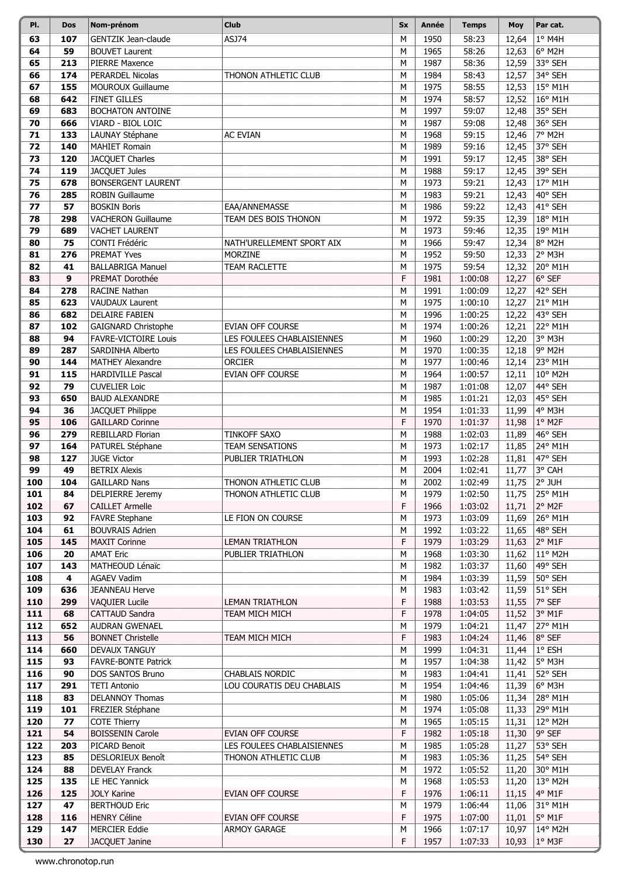| PI.        | <b>Dos</b> | Nom-prénom                                      | <b>Club</b>                                              | <b>Sx</b> | Année        | <b>Temps</b>       | <b>Moy</b>     | Par cat.           |
|------------|------------|-------------------------------------------------|----------------------------------------------------------|-----------|--------------|--------------------|----------------|--------------------|
| 63         | 107        | <b>GENTZIK Jean-claude</b>                      | ASJ74                                                    | M         | 1950         | 58:23              | 12,64          | 1° M4H             |
| 64         | 59         | <b>BOUVET Laurent</b>                           |                                                          | M         | 1965         | 58:26              | 12,63          | 6° M2H             |
| 65         | 213        | PIERRE Maxence                                  |                                                          | M         | 1987         | 58:36              | 12,59          | 33° SEH            |
| 66         | 174        | PERARDEL Nicolas                                | THONON ATHLETIC CLUB                                     | M         | 1984         | 58:43              | 12,57          | 34° SEH            |
| 67         | 155        | <b>MOUROUX Guillaume</b>                        |                                                          | M         | 1975         | 58:55              | 12,53          | 15° M1H            |
| 68         | 642        | <b>FINET GILLES</b>                             |                                                          | M         | 1974         | 58:57              | 12,52          | 16° M1H            |
| 69         | 683        | BOCHATON ANTOINE                                |                                                          | M         | 1997         | 59:07              | 12,48          | 35° SEH            |
| 70         | 666        | VIARD - BIOL LOIC                               |                                                          | M         | 1987         | 59:08              | 12,48          | 36° SEH            |
| 71         | 133        | LAUNAY Stéphane                                 | <b>AC EVIAN</b>                                          | M         | 1968         | 59:15              | 12,46          | 7° M2H             |
| 72         | 140        | <b>MAHIET Romain</b>                            |                                                          | M         | 1989         | 59:16              | 12,45          | 37° SEH            |
| 73         | 120        | JACQUET Charles                                 |                                                          | M         | 1991         | 59:17              | 12,45          | 38° SEH            |
| 74         | 119        | JACQUET Jules                                   |                                                          | M         | 1988         | 59:17              | 12,45          | 39° SEH            |
| 75         | 678        | <b>BONSERGENT LAURENT</b>                       |                                                          | M         | 1973         | 59:21              | 12,43          | 17° M1H            |
| 76         | 285        | <b>ROBIN Guillaume</b>                          |                                                          | M         | 1983         | 59:21              | 12,43          | 40° SEH            |
| 77         | 57         | <b>BOSKIN Boris</b>                             | EAA/ANNEMASSE                                            | M         | 1986         | 59:22              | 12,43          | 41° SEH            |
| 78         | 298        | <b>VACHERON Guillaume</b>                       | TEAM DES BOIS THONON                                     | M         | 1972         | 59:35              | 12,39          | 18° M1H            |
| 79         | 689        | <b>VACHET LAURENT</b>                           |                                                          | M         | 1973         | 59:46              | 12,35          | 19° M1H            |
| 80         | 75         | CONTI Frédéric                                  | NATH'URELLEMENT SPORT AIX                                | M         | 1966         | 59:47              | 12,34          | 8° M2H             |
| 81         | 276        | <b>PREMAT Yves</b>                              | MORZINE                                                  | M         | 1952         | 59:50              | 12,33          | 2° M3H             |
| 82         | 41         | <b>BALLABRIGA Manuel</b>                        | <b>TEAM RACLETTE</b>                                     | M         | 1975         | 59:54              | 12,32          | 20° M1H            |
| 83         | 9          | PREMAT Dorothée                                 |                                                          | F         | 1981         | 1:00:08            | 12,27          | $6°$ SEF           |
| 84         | 278        | RACINE Nathan                                   |                                                          | M         | 1991         | 1:00:09            | 12,27          | 42° SEH            |
| 85         | 623        | <b>VAUDAUX Laurent</b>                          |                                                          | М         | 1975         | 1:00:10            | 12,27          | 21° M1H            |
| 86         | 682        | <b>DELAIRE FABIEN</b>                           |                                                          | M         | 1996         | 1:00:25            | 12,22          | 43° SEH            |
| 87         | 102        | GAIGNARD Christophe                             | <b>EVIAN OFF COURSE</b>                                  | M         | 1974         | 1:00:26            | 12,21          | 22° M1H            |
| 88<br>89   | 94<br>287  | <b>FAVRE-VICTOIRE Louis</b><br>SARDINHA Alberto | LES FOULEES CHABLAISIENNES<br>LES FOULEES CHABLAISIENNES | M<br>M    | 1960<br>1970 | 1:00:29<br>1:00:35 | 12,20          | 3° M3H<br>9° M2H   |
| 90         | 144        | <b>MATHEY Alexandre</b>                         | <b>ORCIER</b>                                            | M         | 1977         | 1:00:46            | 12,18<br>12,14 | 23° M1H            |
| 91         | 115        | <b>HARDIVILLE Pascal</b>                        | EVIAN OFF COURSE                                         | M         | 1964         | 1:00:57            | 12,11          | 10° M2H            |
| 92         | 79         | <b>CUVELIER Loic</b>                            |                                                          | M         | 1987         | 1:01:08            | 12,07          | 44° SEH            |
| 93         | 650        | <b>BAUD ALEXANDRE</b>                           |                                                          | M         | 1985         | 1:01:21            | 12,03          | 45° SEH            |
| 94         | 36         | JACQUET Philippe                                |                                                          | M         | 1954         | 1:01:33            | 11,99          | 4° M3H             |
| 95         | 106        | <b>GAILLARD Corinne</b>                         |                                                          | F         | 1970         | 1:01:37            | 11,98          | $1°$ M2F           |
| 96         | 279        | REBILLARD Florian                               | <b>TINKOFF SAXO</b>                                      | M         | 1988         | 1:02:03            | 11,89          | 46° SEH            |
| 97         | 164        | PATUREL Stéphane                                | <b>TEAM SENSATIONS</b>                                   | M         | 1973         | 1:02:17            | 11,85          | 24° M1H            |
| 98         | 127        | <b>JUGE Victor</b>                              | PUBLIER TRIATHLON                                        | M         | 1993         | 1:02:28            | 11,81          | 47° SEH            |
| 99         | 49         | <b>BETRIX Alexis</b>                            |                                                          | M         | 2004         | 1:02:41            | 11,77          | 3° CAH             |
| 100        | 104        | <b>GAILLARD Nans</b>                            | THONON ATHLETIC CLUB                                     | M         | 2002         | 1:02:49            | 11,75          | 2° JUH             |
| 101        | 84         | DELPIERRE Jeremy                                | THONON ATHLETIC CLUB                                     | М         | 1979         | 1:02:50            | 11,75          | 25° M1H            |
| 102        | 67         | <b>CAILLET Armelle</b>                          |                                                          | F         | 1966         | 1:03:02            | 11,71          | 2° M2F             |
| 103        | 92         | <b>FAVRE Stephane</b>                           | LE FION ON COURSE                                        | М         | 1973         | 1:03:09            | 11,69          | 26° M1H            |
| 104        | 61         | <b>BOUVRAIS Adrien</b>                          |                                                          | М         | 1992         | 1:03:22            | 11,65          | 48° SEH            |
| 105        | 145        | <b>MAXIT Corinne</b>                            | <b>LEMAN TRIATHLON</b>                                   | F         | 1979         | 1:03:29            | 11,63          | $2°$ M1F           |
| 106        | 20         | <b>AMAT Eric</b>                                | PUBLIER TRIATHLON                                        | M         | 1968         | 1:03:30            | 11,62          | 11° M2H            |
| 107        | 143        | MATHEOUD Lénaïc                                 |                                                          | М         | 1982         | 1:03:37            | 11,60          | 49° SEH            |
| 108        | 4<br>636   | <b>AGAEV Vadim</b><br><b>JEANNEAU Herve</b>     |                                                          | М         | 1984<br>1983 | 1:03:39<br>1:03:42 | 11,59          | 50° SEH<br>51° SEH |
| 109<br>110 | 299        | <b>VAQUIER Lucile</b>                           | LEMAN TRIATHLON                                          | М<br>F    | 1988         | 1:03:53            | 11,59<br>11,55 | 7° SEF             |
| 111        | 68         | CATTAUD Sandra                                  | TEAM MICH MICH                                           | F         | 1978         | 1:04:05            | 11,52          | $3°$ M1F           |
| 112        | 652        | AUDRAN GWENAEL                                  |                                                          | M         | 1979         | 1:04:21            | 11,47          | 27° M1H            |
| 113        | 56         | <b>BONNET Christelle</b>                        | TEAM MICH MICH                                           | F         | 1983         | 1:04:24            | 11,46          | $8°$ SEF           |
| 114        | 660        | DEVAUX TANGUY                                   |                                                          | М         | 1999         | 1:04:31            | 11,44          | $1^{\circ}$ ESH    |
| 115        | 93         | FAVRE-BONTE Patrick                             |                                                          | М         | 1957         | 1:04:38            | 11,42          | 5° M3H             |
| 116        | 90         | DOS SANTOS Bruno                                | CHABLAIS NORDIC                                          | М         | 1983         | 1:04:41            | 11,41          | 52° SEH            |
| 117        | 291        | <b>TETI Antonio</b>                             | LOU COURATIS DEU CHABLAIS                                | М         | 1954         | 1:04:46            | 11,39          | 6° M3H             |
| 118        | 83         | DELANNOY Thomas                                 |                                                          | М         | 1980         | 1:05:06            | 11,34          | 28° M1H            |
| 119        | 101        | FREZIER Stéphane                                |                                                          | M         | 1974         | 1:05:08            | 11,33          | 29° M1H            |
| 120        | 77         | COTE Thierry                                    |                                                          | М         | 1965         | 1:05:15            | 11,31          | 12° M2H            |
| 121        | 54         | <b>BOISSENIN Carole</b>                         | EVIAN OFF COURSE                                         | F         | 1982         | 1:05:18            | 11,30          | $9°$ SEF           |
| 122        | 203        | PICARD Benoit                                   | LES FOULEES CHABLAISIENNES                               | М         | 1985         | 1:05:28            | 11,27          | 53° SEH            |
| 123        | 85         | DESLORIEUX Benoît                               | THONON ATHLETIC CLUB                                     | М         | 1983         | 1:05:36            | 11,25          | 54° SEH            |
| 124        | 88         | <b>DEVELAY Franck</b>                           |                                                          | M         | 1972         | 1:05:52            | 11,20          | 30° M1H            |
| 125        | 135        | LE HEC Yannick                                  |                                                          | М         | 1968         | 1:05:53            | 11,20          | 13° M2H            |
| 126<br>127 | 125<br>47  | <b>JOLY Karine</b><br><b>BERTHOUD Eric</b>      | <b>EVIAN OFF COURSE</b>                                  | F<br>М    | 1976<br>1979 | 1:06:11<br>1:06:44 | 11,15          | 4° M1F<br>31° M1H  |
| 128        | 116        | <b>HENRY Céline</b>                             | EVIAN OFF COURSE                                         | F         | 1975         | 1:07:00            | 11,06<br>11,01 | $5^\circ$ M1F      |
| 129        | 147        | <b>MERCIER Eddie</b>                            | ARMOY GARAGE                                             | M         | 1966         | 1:07:17            | 10,97          | 14° M2H            |
| 130        | 27         | JACQUET Janine                                  |                                                          | F         | 1957         | 1:07:33            | 10,93          | $1°$ M3F           |
|            |            |                                                 |                                                          |           |              |                    |                |                    |